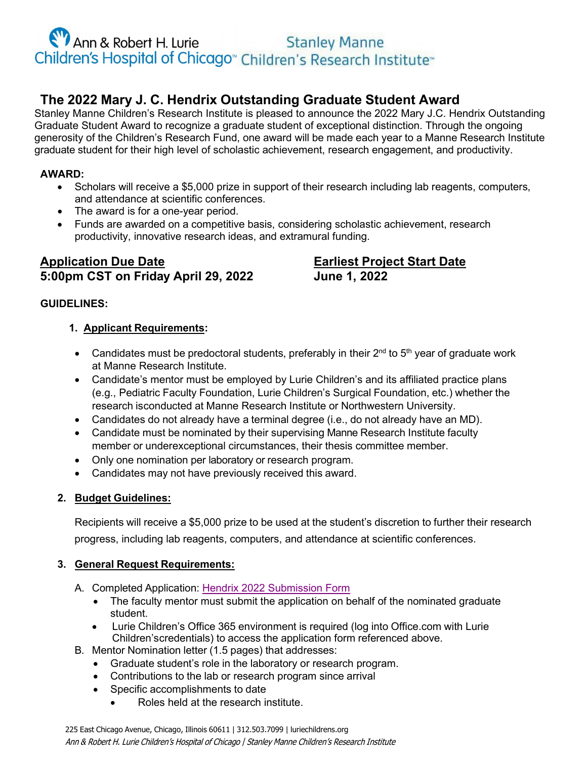Ann & Robert H. Lurie<br>Children's Hospital of Chicago<sup>®</sup> Children's Research Institute®

## **The 2022 Mary J. C. Hendrix Outstanding Graduate Student Award**

Stanley Manne Children's Research Institute is pleased to announce the 2022 Mary J.C. Hendrix Outstanding Graduate Student Award to recognize a graduate student of exceptional distinction. Through the ongoing generosity of the Children's Research Fund, one award will be made each year to a Manne Research Institute graduate student for their high level of scholastic achievement, research engagement, and productivity.

#### **AWARD:**

- Scholars will receive a \$5,000 prize in support of their research including lab reagents, computers, and attendance at scientific conferences.
- The award is for a one-year period.
- Funds are awarded on a competitive basis, considering scholastic achievement, research productivity, innovative research ideas, and extramural funding.

### **Application Due Date Earliest Project Start Date 5:00pm CST on Friday April 29, 2022 June 1, 2022**

#### **GUIDELINES:**

#### **1. Applicant Requirements:**

- Candidates must be predoctoral students, preferably in their  $2^{nd}$  to  $5^{th}$  year of graduate work at Manne Research Institute.
- Candidate's mentor must be employed by Lurie Children's and its affiliated practice plans (e.g., Pediatric Faculty Foundation, Lurie Children's Surgical Foundation, etc.) whether the research isconducted at Manne Research Institute or Northwestern University.
- Candidates do not already have a terminal degree (i.e., do not already have an MD).
- Candidate must be nominated by their supervising Manne Research Institute faculty member or underexceptional circumstances, their thesis committee member.
- Only one nomination per laboratory or research program.
- Candidates may not have previously received this award.

#### **2. Budget Guidelines:**

Recipients will receive a \$5,000 prize to be used at the student's discretion to further their research progress, including lab reagents, computers, and attendance at scientific conferences.

#### **3. General Request Requirements:**

- A. Completed Application: [Hendrix 2022 Submission Form](https://forms.office.com/pages/responsepage.aspx?id=dHTylW-cBkSB3BxV9bP5ysl_59-Z-zpDn4zzbJwJYAhUN1dRQlZPQ1JXN1NVVTFTV00wSE1WQzRXMC4u)
	- The faculty mentor must submit the application on behalf of the nominated graduate student.
	- Lurie Children's Office 365 environment is required (log into Office.com with Lurie Children'scredentials) to access the application form referenced above.
- B. Mentor Nomination letter (1.5 pages) that addresses:
	- Graduate student's role in the laboratory or research program.
	- Contributions to the lab or research program since arrival
	- Specific accomplishments to date
		- Roles held at the research institute.